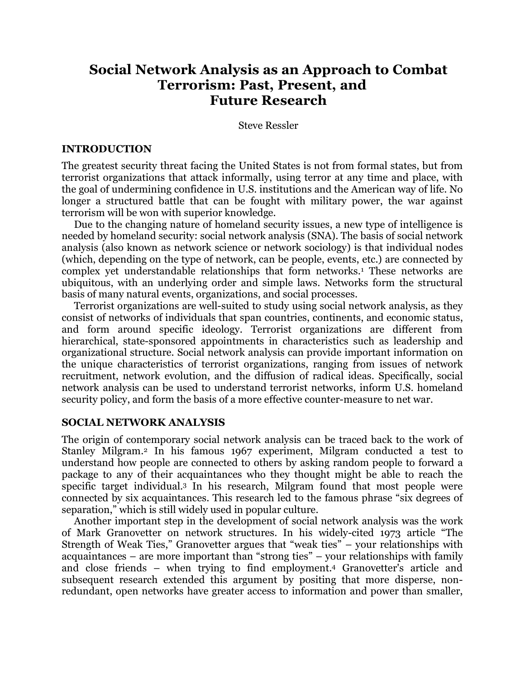# **Social Network Analysis as an Approach to Combat Terrorism: Past, Present, and Future Research**

Steve Ressler

### **INTRODUCTION**

The greatest security threat facing the United States is not from formal states, but from terrorist organizations that attack informally, using terror at any time and place, with the goal of undermining confidence in U.S. institutions and the American way of life. No longer a structured battle that can be fought with military power, the war against terrorism will be won with superior knowledge.

Due to the changing nature of homeland security issues, a new type of intelligence is needed by homeland security: social network analysis (SNA). The basis of social network analysis (also known as network science or network sociology) is that individual nodes (which, depending on the type of network, can be people, events, etc.) are connected by complex vet understandable relationships that form networks.<sup>1</sup> These networks are ubiquitous, with an underlying order and simple laws. Networks form the structural basis of many natural events, organizations, and social processes.

Terrorist organizations are well-suited to study using social network analysis, as they consist of networks of individuals that span countries, continents, and economic status, and form around specific ideology. Terrorist organizations are different from hierarchical, state-sponsored appointments in characteristics such as leadership and organizational structure. Social network analysis can provide important information on the unique characteristics of terrorist organizations, ranging from issues of network recruitment, network evolution, and the diffusion of radical ideas. Specifically, social network analysis can be used to understand terrorist networks, inform U.S. homeland security policy, and form the basis of a more effective counter-measure to net war.

# **SOCIAL NETWORK ANALYSIS**

The origin of contemporary social network analysis can be traced back to the work of Stanley Milgram.2 In his famous 1967 experiment, Milgram conducted a test to understand how people are connected to others by asking random people to forward a package to any of their acquaintances who they thought might be able to reach the specific target individual.3 In his research, Milgram found that most people were connected by six acquaintances. This research led to the famous phrase "six degrees of separation," which is still widely used in popular culture.

Another important step in the development of social network analysis was the work of Mark Granovetter on network structures. In his widely-cited 1973 article "The Strength of Weak Ties," Granovetter argues that "weak ties" – your relationships with acquaintances – are more important than "strong ties" – your relationships with family and close friends – when trying to find employment.4 Granovetter's article and subsequent research extended this argument by positing that more disperse, nonredundant, open networks have greater access to information and power than smaller,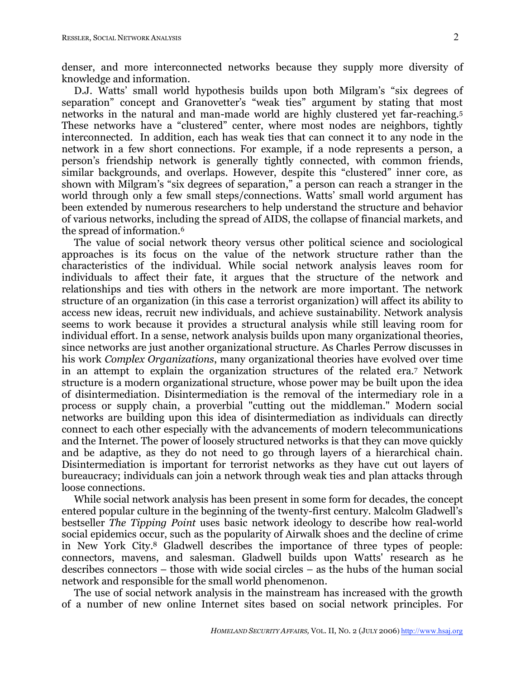denser, and more interconnected networks because they supply more diversity of knowledge and information.

D.J. Watts' small world hypothesis builds upon both Milgram's "six degrees of separation" concept and Granovetter's "weak ties" argument by stating that most networks in the natural and man-made world are highly clustered yet far-reaching.5 These networks have a "clustered" center, where most nodes are neighbors, tightly interconnected. In addition, each has weak ties that can connect it to any node in the network in a few short connections. For example, if a node represents a person, a person's friendship network is generally tightly connected, with common friends, similar backgrounds, and overlaps. However, despite this "clustered" inner core, as shown with Milgram's "six degrees of separation," a person can reach a stranger in the world through only a few small steps/connections. Watts' small world argument has been extended by numerous researchers to help understand the structure and behavior of various networks, including the spread of AIDS, the collapse of financial markets, and the spread of information.6

The value of social network theory versus other political science and sociological approaches is its focus on the value of the network structure rather than the characteristics of the individual. While social network analysis leaves room for individuals to affect their fate, it argues that the structure of the network and relationships and ties with others in the network are more important. The network structure of an organization (in this case a terrorist organization) will affect its ability to access new ideas, recruit new individuals, and achieve sustainability. Network analysis seems to work because it provides a structural analysis while still leaving room for individual effort. In a sense, network analysis builds upon many organizational theories, since networks are just another organizational structure. As Charles Perrow discusses in his work *Complex Organizations*, many organizational theories have evolved over time in an attempt to explain the organization structures of the related era.7 Network structure is a modern organizational structure, whose power may be built upon the idea of disintermediation. Disintermediation is the removal of the intermediary role in a process or supply chain, a proverbial "cutting out the middleman." Modern social networks are building upon this idea of disintermediation as individuals can directly connect to each other especially with the advancements of modern telecommunications and the Internet. The power of loosely structured networks is that they can move quickly and be adaptive, as they do not need to go through layers of a hierarchical chain. Disintermediation is important for terrorist networks as they have cut out layers of bureaucracy; individuals can join a network through weak ties and plan attacks through loose connections.

While social network analysis has been present in some form for decades, the concept entered popular culture in the beginning of the twenty-first century. Malcolm Gladwell's bestseller *The Tipping Point* uses basic network ideology to describe how real-world social epidemics occur, such as the popularity of Airwalk shoes and the decline of crime in New York City. <sup>8</sup> Gladwell describes the importance of three types of people: connectors, mavens, and salesman. Gladwell builds upon Watts' research as he describes connectors – those with wide social circles – as the hubs of the human social network and responsible for the small world phenomenon.

The use of social network analysis in the mainstream has increased with the growth of a number of new online Internet sites based on social network principles. For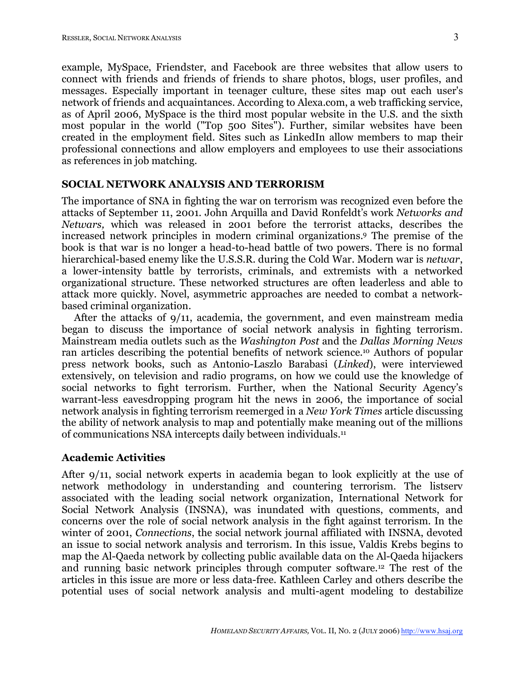example, MySpace, Friendster, and Facebook are three websites that allow users to connect with friends and friends of friends to share photos, blogs, user profiles, and messages. Especially important in teenager culture, these sites map out each user's network of friends and acquaintances. According to Alexa.com, a web trafficking service, as of April 2006, MySpace is the third most popular website in the U.S. and the sixth most popular in the world ("Top 500 Sites"). Further, similar websites have been created in the employment field. Sites such as LinkedIn allow members to map their professional connections and allow employers and employees to use their associations as references in job matching.

# **SOCIAL NETWORK ANALYSIS AND TERRORISM**

The importance of SNA in fighting the war on terrorism was recognized even before the attacks of September 11, 2001. John Arquilla and David Ronfeldt's work *Networks and Netwars,* which was released in 2001 before the terrorist attacks, describes the increased network principles in modern criminal organizations. <sup>9</sup> The premise of the book is that war is no longer a head-to-head battle of two powers. There is no formal hierarchical-based enemy like the U.S.S.R. during the Cold War. Modern war is *netwar*, a lower-intensity battle by terrorists, criminals, and extremists with a networked organizational structure. These networked structures are often leaderless and able to attack more quickly. Novel, asymmetric approaches are needed to combat a networkbased criminal organization.

After the attacks of 9/11, academia, the government, and even mainstream media began to discuss the importance of social network analysis in fighting terrorism. Mainstream media outlets such as the *Washington Post* and the *Dallas Morning News* ran articles describing the potential benefits of network science.10 Authors of popular press network books, such as Antonio-Laszlo Barabasi (*Linked*), were interviewed extensively, on television and radio programs, on how we could use the knowledge of social networks to fight terrorism. Further, when the National Security Agency's warrant-less eavesdropping program hit the news in 2006, the importance of social network analysis in fighting terrorism reemerged in a *New York Times* article discussing the ability of network analysis to map and potentially make meaning out of the millions of communications NSA intercepts daily between individuals.<sup>11</sup>

# **Academic Activities**

After 9/11, social network experts in academia began to look explicitly at the use of network methodology in understanding and countering terrorism. The listserv associated with the leading social network organization, International Network for Social Network Analysis (INSNA), was inundated with questions, comments, and concerns over the role of social network analysis in the fight against terrorism. In the winter of 2001, *Connections*, the social network journal affiliated with INSNA, devoted an issue to social network analysis and terrorism. In this issue, Valdis Krebs begins to map the Al-Qaeda network by collecting public available data on the Al-Qaeda hijackers and running basic network principles through computer software.12 The rest of the articles in this issue are more or less data-free. Kathleen Carley and others describe the potential uses of social network analysis and multi-agent modeling to destabilize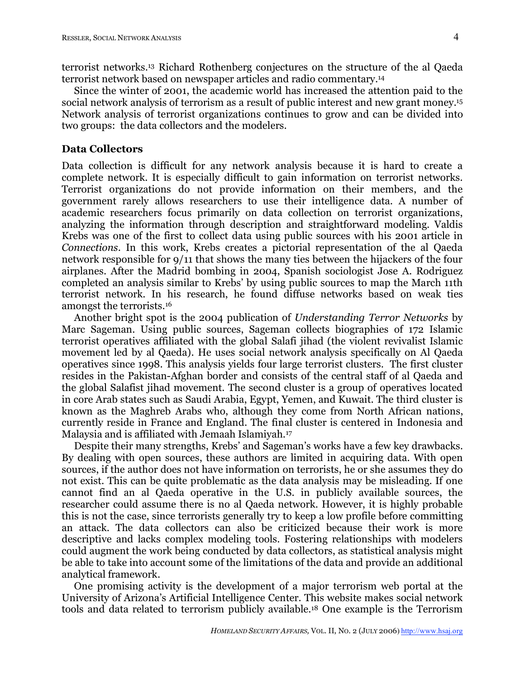terrorist networks. <sup>13</sup> Richard Rothenberg conjectures on the structure of the al Qaeda terrorist network based on newspaper articles and radio commentary.14

Since the winter of 2001, the academic world has increased the attention paid to the social network analysis of terrorism as a result of public interest and new grant money.<sup>15</sup> Network analysis of terrorist organizations continues to grow and can be divided into two groups: the data collectors and the modelers.

### **Data Collectors**

Data collection is difficult for any network analysis because it is hard to create a complete network. It is especially difficult to gain information on terrorist networks. Terrorist organizations do not provide information on their members, and the government rarely allows researchers to use their intelligence data. A number of academic researchers focus primarily on data collection on terrorist organizations, analyzing the information through description and straightforward modeling. Valdis Krebs was one of the first to collect data using public sources with his 2001 article in *Connections*. In this work, Krebs creates a pictorial representation of the al Qaeda network responsible for 9/11 that shows the many ties between the hijackers of the four airplanes. After the Madrid bombing in 2004, Spanish sociologist Jose A. Rodriguez completed an analysis similar to Krebs' by using public sources to map the March 11th terrorist network. In his research, he found diffuse networks based on weak ties amongst the terrorists.16

Another bright spot is the 2004 publication of *Understanding Terror Networks* by Marc Sageman. Using public sources, Sageman collects biographies of 172 Islamic terrorist operatives affiliated with the global Salafi jihad (the violent revivalist Islamic movement led by al Qaeda). He uses social network analysis specifically on Al Qaeda operatives since 1998. This analysis yields four large terrorist clusters. The first cluster resides in the Pakistan-Afghan border and consists of the central staff of al Qaeda and the global Salafist jihad movement. The second cluster is a group of operatives located in core Arab states such as Saudi Arabia, Egypt, Yemen, and Kuwait. The third cluster is known as the Maghreb Arabs who, although they come from North African nations, currently reside in France and England. The final cluster is centered in Indonesia and Malaysia and is affiliated with Jemaah Islamiyah.17

Despite their many strengths, Krebs' and Sageman's works have a few key drawbacks. By dealing with open sources, these authors are limited in acquiring data. With open sources, if the author does not have information on terrorists, he or she assumes they do not exist. This can be quite problematic as the data analysis may be misleading. If one cannot find an al Qaeda operative in the U.S. in publicly available sources, the researcher could assume there is no al Qaeda network. However, it is highly probable this is not the case, since terrorists generally try to keep a low profile before committing an attack. The data collectors can also be criticized because their work is more descriptive and lacks complex modeling tools. Fostering relationships with modelers could augment the work being conducted by data collectors, as statistical analysis might be able to take into account some of the limitations of the data and provide an additional analytical framework.

One promising activity is the development of a major terrorism web portal at the University of Arizona's Artificial Intelligence Center. This website makes social network tools and data related to terrorism publicly available.18 One example is the Terrorism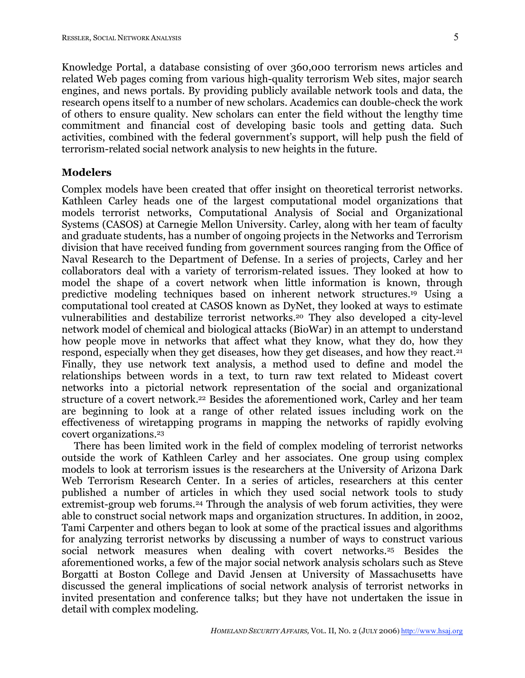Knowledge Portal, a database consisting of over 360,000 terrorism news articles and related Web pages coming from various high-quality terrorism Web sites, major search engines, and news portals. By providing publicly available network tools and data, the research opens itself to a number of new scholars. Academics can double-check the work of others to ensure quality. New scholars can enter the field without the lengthy time commitment and financial cost of developing basic tools and getting data. Such activities, combined with the federal government's support, will help push the field of terrorism-related social network analysis to new heights in the future.

# **Modelers**

Complex models have been created that offer insight on theoretical terrorist networks. Kathleen Carley heads one of the largest computational model organizations that models terrorist networks, Computational Analysis of Social and Organizational Systems (CASOS) at Carnegie Mellon University. Carley, along with her team of faculty and graduate students, has a number of ongoing projects in the Networks and Terrorism division that have received funding from government sources ranging from the Office of Naval Research to the Department of Defense. In a series of projects, Carley and her collaborators deal with a variety of terrorism-related issues. They looked at how to model the shape of a covert network when little information is known, through predictive modeling techniques based on inherent network structures.19 Using a computational tool created at CASOS known as DyNet, they looked at ways to estimate vulnerabilities and destabilize terrorist networks. <sup>20</sup> They also developed a city-level network model of chemical and biological attacks (BioWar) in an attempt to understand how people move in networks that affect what they know, what they do, how they respond, especially when they get diseases, how they get diseases, and how they react.21 Finally, they use network text analysis, a method used to define and model the relationships between words in a text, to turn raw text related to Mideast covert networks into a pictorial network representation of the social and organizational structure of a covert network. <sup>22</sup> Besides the aforementioned work, Carley and her team are beginning to look at a range of other related issues including work on the effectiveness of wiretapping programs in mapping the networks of rapidly evolving covert organizations. 23

There has been limited work in the field of complex modeling of terrorist networks outside the work of Kathleen Carley and her associates. One group using complex models to look at terrorism issues is the researchers at the University of Arizona Dark Web Terrorism Research Center. In a series of articles, researchers at this center published a number of articles in which they used social network tools to study extremist-group web forums.24 Through the analysis of web forum activities, they were able to construct social network maps and organization structures. In addition, in 2002, Tami Carpenter and others began to look at some of the practical issues and algorithms for analyzing terrorist networks by discussing a number of ways to construct various social network measures when dealing with covert networks.25 Besides the aforementioned works, a few of the major social network analysis scholars such as Steve Borgatti at Boston College and David Jensen at University of Massachusetts have discussed the general implications of social network analysis of terrorist networks in invited presentation and conference talks; but they have not undertaken the issue in detail with complex modeling.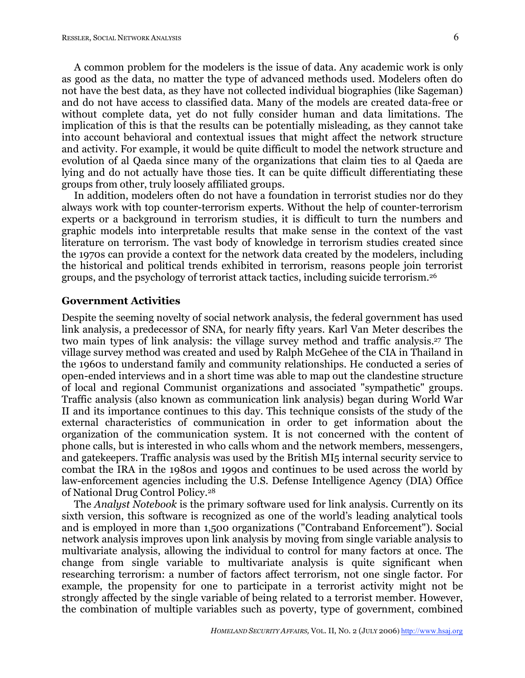A common problem for the modelers is the issue of data. Any academic work is only as good as the data, no matter the type of advanced methods used. Modelers often do not have the best data, as they have not collected individual biographies (like Sageman) and do not have access to classified data. Many of the models are created data-free or without complete data, yet do not fully consider human and data limitations. The implication of this is that the results can be potentially misleading, as they cannot take into account behavioral and contextual issues that might affect the network structure and activity. For example, it would be quite difficult to model the network structure and evolution of al Qaeda since many of the organizations that claim ties to al Qaeda are lying and do not actually have those ties. It can be quite difficult differentiating these groups from other, truly loosely affiliated groups.

In addition, modelers often do not have a foundation in terrorist studies nor do they always work with top counter-terrorism experts. Without the help of counter-terrorism experts or a background in terrorism studies, it is difficult to turn the numbers and graphic models into interpretable results that make sense in the context of the vast literature on terrorism. The vast body of knowledge in terrorism studies created since the 1970s can provide a context for the network data created by the modelers, including the historical and political trends exhibited in terrorism, reasons people join terrorist groups, and the psychology of terrorist attack tactics, including suicide terrorism.26

#### **Government Activities**

Despite the seeming novelty of social network analysis, the federal government has used link analysis, a predecessor of SNA, for nearly fifty years. Karl Van Meter describes the two main types of link analysis: the village survey method and traffic analysis. <sup>27</sup> The village survey method was created and used by Ralph McGehee of the CIA in Thailand in the 1960s to understand family and community relationships. He conducted a series of open-ended interviews and in a short time was able to map out the clandestine structure of local and regional Communist organizations and associated "sympathetic" groups. Traffic analysis (also known as communication link analysis) began during World War II and its importance continues to this day. This technique consists of the study of the external characteristics of communication in order to get information about the organization of the communication system. It is not concerned with the content of phone calls, but is interested in who calls whom and the network members, messengers, and gatekeepers. Traffic analysis was used by the British MI5 internal security service to combat the IRA in the 1980s and 1990s and continues to be used across the world by law-enforcement agencies including the U.S. Defense Intelligence Agency (DIA) Office of National Drug Control Policy.28

The *Analyst Notebook* is the primary software used for link analysis. Currently on its sixth version, this software is recognized as one of the world's leading analytical tools and is employed in more than 1,500 organizations ("Contraband Enforcement"). Social network analysis improves upon link analysis by moving from single variable analysis to multivariate analysis, allowing the individual to control for many factors at once. The change from single variable to multivariate analysis is quite significant when researching terrorism: a number of factors affect terrorism, not one single factor. For example, the propensity for one to participate in a terrorist activity might not be strongly affected by the single variable of being related to a terrorist member. However, the combination of multiple variables such as poverty, type of government, combined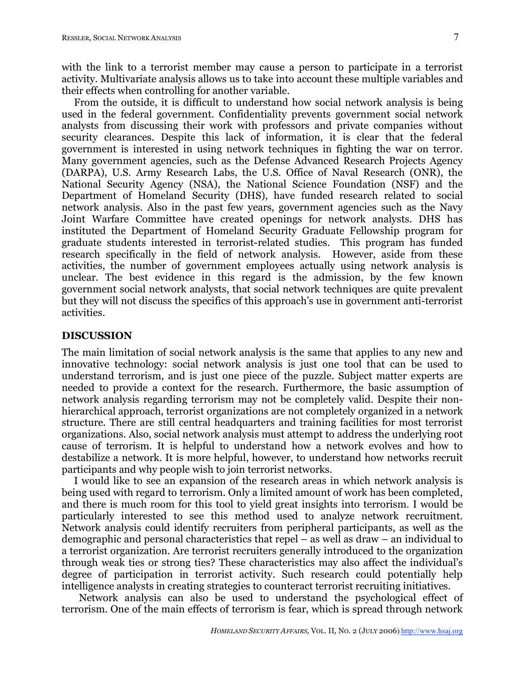with the link to a terrorist member may cause a person to participate in a terrorist activity. Multivariate analysis allows us to take into account these multiple variables and their effects when controlling for another variable.

From the outside, it is difficult to understand how social network analysis is being used in the federal government. Confidentiality prevents government social network analysts from discussing their work with professors and private companies without security clearances. Despite this lack of information, it is clear that the federal government is interested in using network techniques in fighting the war on terror. Many government agencies, such as the Defense Advanced Research Projects Agency (DARPA), U.S. Army Research Labs, the U.S. Office of Naval Research (ONR), the National Security Agency (NSA), the National Science Foundation (NSF) and the Department of Homeland Security (DHS), have funded research related to social network analysis. Also in the past few years, government agencies such as the Navy Joint Warfare Committee have created openings for network analysts. DHS has instituted the Department of Homeland Security Graduate Fellowship program for graduate students interested in terrorist-related studies. This program has funded research specifically in the field of network analysis. However, aside from these activities, the number of government employees actually using network analysis is unclear. The best evidence in this regard is the admission, by the few known government social network analysts, that social network techniques are quite prevalent but they will not discuss the specifics of this approach's use in government anti-terrorist activities.

#### **DISCUSSION**

The main limitation of social network analysis is the same that applies to any new and innovative technology: social network analysis is just one tool that can be used to understand terrorism, and is just one piece of the puzzle. Subject matter experts are needed to provide a context for the research. Furthermore, the basic assumption of network analysis regarding terrorism may not be completely valid. Despite their nonhierarchical approach, terrorist organizations are not completely organized in a network structure. There are still central headquarters and training facilities for most terrorist organizations. Also, social network analysis must attempt to address the underlying root cause of terrorism. It is helpful to understand how a network evolves and how to destabilize a network. It is more helpful, however, to understand how networks recruit participants and why people wish to join terrorist networks.

I would like to see an expansion of the research areas in which network analysis is being used with regard to terrorism. Only a limited amount of work has been completed, and there is much room for this tool to yield great insights into terrorism. I would be particularly interested to see this method used to analyze network recruitment. Network analysis could identify recruiters from peripheral participants, as well as the demographic and personal characteristics that repel – as well as draw – an individual to a terrorist organization. Are terrorist recruiters generally introduced to the organization through weak ties or strong ties? These characteristics may also affect the individual's degree of participation in terrorist activity. Such research could potentially help intelligence analysts in creating strategies to counteract terrorist recruiting initiatives.

Network analysis can also be used to understand the psychological effect of terrorism. One of the main effects of terrorism is fear, which is spread through network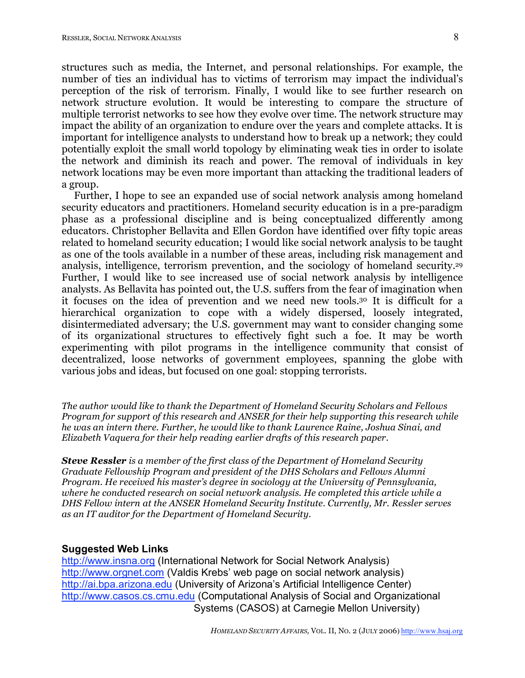structures such as media, the Internet, and personal relationships. For example, the number of ties an individual has to victims of terrorism may impact the individual's perception of the risk of terrorism. Finally, I would like to see further research on network structure evolution. It would be interesting to compare the structure of multiple terrorist networks to see how they evolve over time. The network structure may impact the ability of an organization to endure over the years and complete attacks. It is important for intelligence analysts to understand how to break up a network; they could potentially exploit the small world topology by eliminating weak ties in order to isolate the network and diminish its reach and power. The removal of individuals in key network locations may be even more important than attacking the traditional leaders of a group.

Further, I hope to see an expanded use of social network analysis among homeland security educators and practitioners. Homeland security education is in a pre-paradigm phase as a professional discipline and is being conceptualized differently among educators. Christopher Bellavita and Ellen Gordon have identified over fifty topic areas related to homeland security education; I would like social network analysis to be taught as one of the tools available in a number of these areas, including risk management and analysis, intelligence, terrorism prevention, and the sociology of homeland security. 29 Further, I would like to see increased use of social network analysis by intelligence analysts. As Bellavita has pointed out, the U.S. suffers from the fear of imagination when it focuses on the idea of prevention and we need new tools. <sup>30</sup> It is difficult for a hierarchical organization to cope with a widely dispersed, loosely integrated, disintermediated adversary; the U.S. government may want to consider changing some of its organizational structures to effectively fight such a foe. It may be worth experimenting with pilot programs in the intelligence community that consist of decentralized, loose networks of government employees, spanning the globe with various jobs and ideas, but focused on one goal: stopping terrorists.

*The author would like to thank the Department of Homeland Security Scholars and Fellows Program for support of this research and ANSER for their help supporting this research while he was an intern there. Further, he would like to thank Laurence Raine, Joshua Sinai, and Elizabeth Vaquera for their help reading earlier drafts of this research paper.*

*Steve Ressler is a member of the first class of the Department of Homeland Security Graduate Fellowship Program and president of the DHS Scholars and Fellows Alumni Program. He received his master's degree in sociology at the University of Pennsylvania, where he conducted research on social network analysis. He completed this article while a DHS Fellow intern at the ANSER Homeland Security Institute. Currently, Mr. Ressler serves as an IT auditor for the Department of Homeland Security.*

#### **Suggested Web Links**

http://www.insna.org (International Network for Social Network Analysis) http://www.orgnet.com (Valdis Krebs' web page on social network analysis) http://ai.bpa.arizona.edu (University of Arizona's Artificial Intelligence Center) http://www.casos.cs.cmu.edu (Computational Analysis of Social and Organizational Systems (CASOS) at Carnegie Mellon University)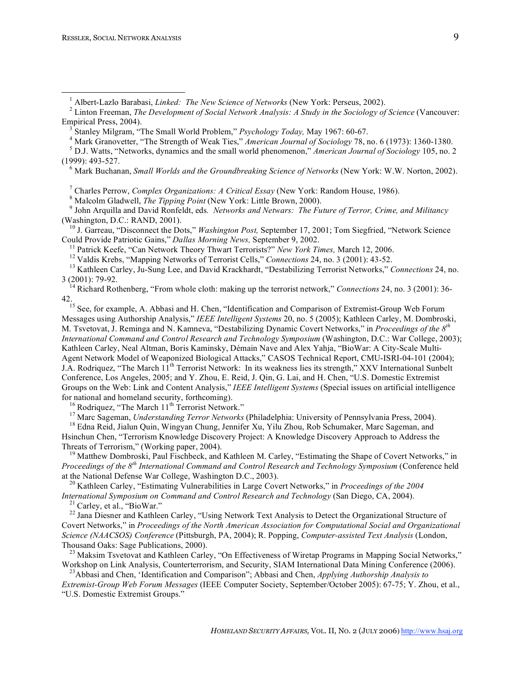(1999): 493-527. <sup>6</sup> Mark Buchanan, *Small Worlds and the Groundbreaking Science of Networks* (New York: W.W. Norton, 2002).

<sup>7</sup> Charles Perrow, *Complex Organizations: A Critical Essay* (New York: Random House, 1986).<br>
<sup>8</sup> Malcolm Gladwell, *The Tipping Point* (New York: Little Brown, 2000).<br>
<sup>9</sup> John Arquilla and David Ronfeldt, eds. *Network* 

(Washington, D.C.: RAND, 2001).<br><sup>10</sup> J. Garreau, "Disconnect the Dots," *Washington Post*, September 17, 2001; Tom Siegfried, "Network Science<br>Could Provide Patriotic Gains," *Dallas Morning News*, September 9, 2002.

<sup>11</sup> Patrick Keefe, "Can Network Theory Thwart Terrorists?" New York Times, March 12, 2006.<br><sup>12</sup> Valdis Krebs, "Mapping Networks of Terrorist Cells," *Connections* 24, no. 3 (2001): 43-52.<br><sup>13</sup> Kathleen Carley, Ju-Sung Le

<sup>14</sup> Richard Rothenberg, "From whole cloth: making up the terrorist network," *Connections* 24, no. 3 (2001): 36-42.

<sup>15</sup> See, for example, A. Abbasi and H. Chen, "Identification and Comparison of Extremist-Group Web Forum Messages using Authorship Analysis," *IEEE Intelligent Systems* 20, no. 5 (2005); Kathleen Carley, M. Dombroski, M. Tsvetovat, J. Reminga and N. Kamneva, "Destabilizing Dynamic Covert Networks," in *Proceedings of the 8th International Command and Control Research and Technology Symposium* (Washington, D.C.: War College, 2003); Kathleen Carley, Neal Altman, Boris Kaminsky, Démain Nave and Alex Yahja, "BioWar: A City-Scale Multi-Agent Network Model of Weaponized Biological Attacks," CASOS Technical Report, CMU-ISRI-04-101 (2004); J.A. Rodriquez, "The March 11<sup>th</sup> Terrorist Network: In its weakness lies its strength," XXV International Sunbelt Conference, Los Angeles, 2005; and Y. Zhou, E. Reid, J. Qin, G. Lai, and H. Chen, "U.S. Domestic Extremist Groups on the Web: Link and Content Analysis," *IEEE Intelligent Systems* (Special issues on artificial intelligence for national and homeland security, forthcoming).<br><sup>16</sup> Rodriquez, "The March 11<sup>th</sup> Terrorist Network."<br><sup>17</sup> Marc Sageman, *Understanding Terror Networks* (Philadelphia: University of Pennsylvania Press, 2004).<br><sup>18</sup> Edna R

Hsinchun Chen, "Terrorism Knowledge Discovery Project: A Knowledge Discovery Approach to Address the

Threats of Terrorism," (Working paper, 2004).<br><sup>19</sup> Matthew Dombroski, Paul Fischbeck, and Kathleen M. Carley, "Estimating the Shape of Covert Networks," in *Proceedings of the*  $8^{th}$  *International Command and Control Research and Technology Symposium* (Conference held at the National Defense War College, Washington D.C., 2003).

<sup>20</sup> Kathleen Carley, "Estimating Vulnerabilities in Large Covert Networks," in *Proceedings of the* 2004 *International Symposium on Command and Control Research and Technology* (San Diego, CA, 2004).<br><sup>21</sup> Carley, et al., "BioWar."<br><sup>22</sup> Jana Diesner and Kathleen Carley, "Using Network Text Analysis to Detect the Organization

Covert Networks," in *Proceedings of the North American Association for Computational Social and Organizational Science (NAACSOS) Conference* (Pittsburgh, PA, 2004); R. Popping, *Computer-assisted Text Analysis* (London, Thousand Oaks: Sage Publications, 2000).<br><sup>23</sup> Maksim Tsvetovat and Kathleen Carley, "On Effectiveness of Wiretap Programs in Mapping Social Networks,"

Workshop on Link Analysis, Counterterrorism, and Security, SIAM International Data Mining Conference (2006).

Abbasi and Chen, 'Identification and Comparison"; Abbasi and Chen, *Applying Authorship Analysis to Extremist-Group Web Forum Messages* (IEEE Computer Society, September/October 2005): 67-75; Y. Zhou, et al., "U.S. Domestic Extremist Groups."

<sup>&</sup>lt;sup>1</sup> Albert-Lazlo Barabasi, *Linked: The New Science of Networks* (New York: Perseus, 2002).<br><sup>2</sup> Linton Freeman, *The Development of Social Network Analysis: A Study in the Sociology of Science* (Vancouver: Empirical Press, 2004).<br><sup>3</sup> Stanley Milgram, "The Small World Problem," *Psychology Today*, May 1967: 60-67.<br><sup>4</sup> Mark Granovetter, "The Strength of Weak Ties," *American Journal of Sociology* 78, no. 6 (1973): 1360-1380.<br><sup></sup>